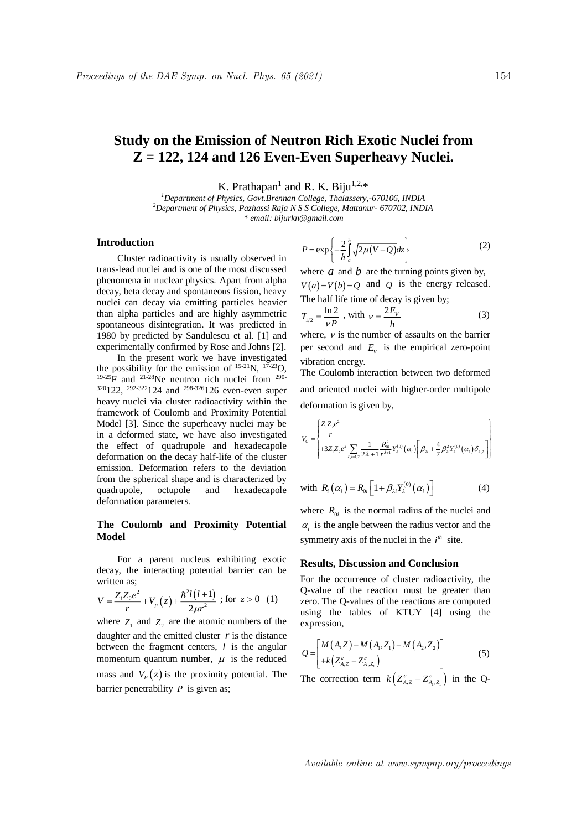# **Study on the Emission of Neutron Rich Exotic Nuclei from Z = 122, 124 and 126 Even-Even Superheavy Nuclei.**

K. Prathapan<sup>1</sup> and R. K. Biju<sup>1,2,\*</sup>

*<sup>1</sup>Department of Physics, Govt.Brennan College, Thalassery,-670106, INDIA <sup>2</sup>Department of Physics, Pazhassi Raja N S S College, Mattanur- 670702, INDIA \* email: bijurkn@gmail.com*

## **Introduction**

Cluster radioactivity is usually observed in trans-lead nuclei and is one of the most discussed phenomena in nuclear physics. Apart from alpha decay, beta decay and spontaneous fission, heavy nuclei can decay via emitting particles heavier than alpha particles and are highly asymmetric spontaneous disintegration. It was predicted in 1980 by predicted by Sandulescu et al. [1] and experimentally confirmed by Rose and Johns [2].

In the present work we have investigated the possibility for the emission of  $^{15-21}N$ ,  $^{17-23}O$ ,  $19-25$ F and  $21-28$ Ne neutron rich nuclei from  $290 320122$ ,  $292-322124$  and  $298-326126$  even-even super heavy nuclei via cluster radioactivity within the framework of Coulomb and Proximity Potential Model [3]. Since the superheavy nuclei may be in a deformed state, we have also investigated the effect of quadrupole and hexadecapole deformation on the decay half-life of the cluster emission. Deformation refers to the deviation from the spherical shape and is characterized by quadrupole, octupole and hexadecapole deformation parameters.

## **The Coulomb and Proximity Potential Model**

For a parent nucleus exhibiting exotic decay, the interacting potential barrier can be written as:

written as;  
\n
$$
V = \frac{Z_1 Z_2 e^2}{r} + V_p(z) + \frac{\hbar^2 l(l+1)}{2\mu r^2}
$$
; for  $z > 0$  (1)

where  $Z_1$  and  $Z_2$  are the atomic numbers of the daughter and the emitted cluster  $r$  is the distance between the fragment centers, *l* is the angular momentum quantum number,  $\mu$  is the reduced mass and  $V_p(z)$  is the proximity potential. The barrier penetrability *P* is given as;

$$
P = \exp\left\{-\frac{2}{\hbar} \int_{a}^{b} \sqrt{2\mu (V - Q)} dz\right\}
$$
 (2)

where  $a$  and  $b$  are the turning points given by,  $V(a) = V(b) = Q$  and Q is the energy released. The half life time of decay is given by;

$$
T_{1/2} = \frac{\ln 2}{\nu P} \text{ , with } \nu = \frac{2E_v}{h} \tag{3}
$$

where,  $\nu$  is the number of assaults on the barrier per second and  $E_V$  is the empirical zero-point vibration energy.

The Coulomb interaction between two deformed and oriented nuclei with higher-order multipole deformation is given by,

$$
V_C = \begin{cases} \frac{Z_1 Z_2 e^2}{r} & \text{if } Z_1 Z_2 e^2 \sum_{\lambda, i=1,2} \frac{1}{2\lambda + 1} \frac{R_{0i}^{\lambda}}{r^{\lambda + 1}} Y_{\lambda}^{(0)}(\alpha_i) \left[ \beta_{\lambda i} + \frac{4}{7} \beta_{\lambda i}^2 Y_{\lambda}^{(0)}(\alpha_i) \delta_{\lambda, 2} \right] & \text{if } Z_1 Z_2 e^2 \end{cases}
$$

with 
$$
R_i(\alpha_i) = R_{0i} \left[ 1 + \beta_{\lambda i} Y_{\lambda}^{(0)}(\alpha_i) \right]
$$
 (4)

where  $R_{0i}$  is the normal radius of the nuclei and  $\alpha$  is the angle between the radius vector and the symmetry axis of the nuclei in the  $i<sup>th</sup>$  site.

### **Results, Discussion and Conclusion**

For the occurrence of cluster radioactivity, the Q-value of the reaction must be greater than zero. The Q-values of the reactions are computed using the tables of KTUY [4] using the expression,

$$
Q = \begin{bmatrix} M(A,Z) - M(A_1,Z_1) - M(A_2,Z_2) \\ + k(Z_{A,Z}^{\varepsilon} - Z_{A,Z_1}^{\varepsilon}) \end{bmatrix}
$$
 (5)

The correction term  $k\left(Z_{A,Z}^{\varepsilon}-Z_{A_1,Z_1}^{\varepsilon}\right)$  in the Q-

Available online at www.sympnp.org/proceedings